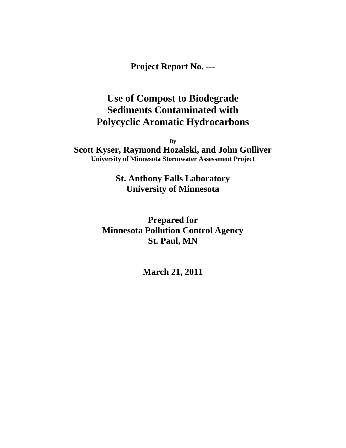**Project Report No. ---**

# **Use of Compost to Biodegrade Sediments Contaminated with Polycyclic Aromatic Hydrocarbons**

**By**

**Scott Kyser, Raymond Hozalski, and John Gulliver University of Minnesota Stormwater Assessment Project**

> **St. Anthony Falls Laboratory University of Minnesota**

**Prepared for Minnesota Pollution Control Agency St. Paul, MN**

**March 21, 2011**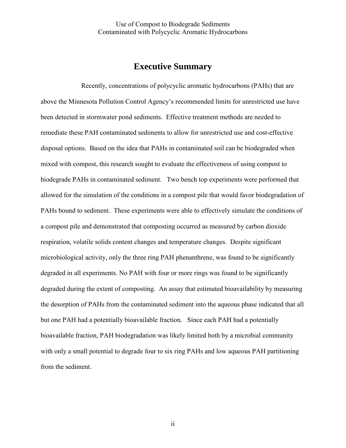## **Executive Summary**

 Recently, concentrations of polycyclic aromatic hydrocarbons (PAHs) that are above the Minnesota Pollution Control Agency's recommended limits for unrestricted use have been detected in stormwater pond sediments. Effective treatment methods are needed to remediate these PAH contaminated sediments to allow for unrestricted use and cost-effective disposal options. Based on the idea that PAHs in contaminated soil can be biodegraded when mixed with compost, this research sought to evaluate the effectiveness of using compost to biodegrade PAHs in contaminated sediment. Two bench top experiments were performed that allowed for the simulation of the conditions in a compost pile that would favor biodegradation of PAHs bound to sediment. These experiments were able to effectively simulate the conditions of a compost pile and demonstrated that composting occurred as measured by carbon dioxide respiration, volatile solids content changes and temperature changes. Despite significant microbiological activity, only the three ring PAH phenanthrene, was found to be significantly degraded in all experiments. No PAH with four or more rings was found to be significantly degraded during the extent of composting. An assay that estimated bioavailability by measuring the desorption of PAHs from the contaminated sediment into the aqueous phase indicated that all but one PAH had a potentially bioavailable fraction. Since each PAH had a potentially bioavailable fraction, PAH biodegradation was likely limited both by a microbial community with only a small potential to degrade four to six ring PAHs and low aqueous PAH partitioning from the sediment.

ii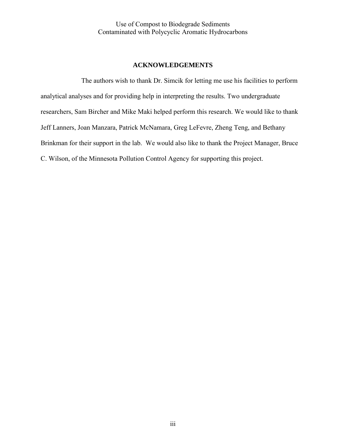#### **ACKNOWLEDGEMENTS**

 The authors wish to thank Dr. Simcik for letting me use his facilities to perform analytical analyses and for providing help in interpreting the results. Two undergraduate researchers, Sam Bircher and Mike Maki helped perform this research. We would like to thank Jeff Lanners, Joan Manzara, Patrick McNamara, Greg LeFevre, Zheng Teng, and Bethany Brinkman for their support in the lab. We would also like to thank the Project Manager, Bruce C. Wilson, of the Minnesota Pollution Control Agency for supporting this project.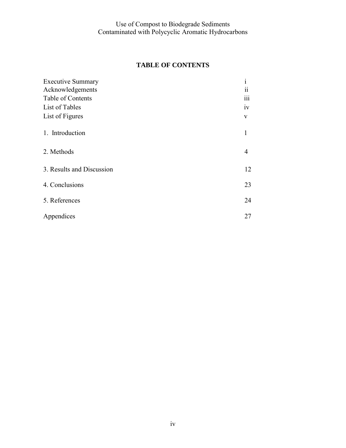## **TABLE OF CONTENTS**

| <b>Executive Summary</b>  | $\mathbf{i}$            |
|---------------------------|-------------------------|
| Acknowledgements          | $\overline{\mathbf{i}}$ |
| Table of Contents         | iii                     |
| List of Tables            | iv                      |
| List of Figures           | V                       |
| 1. Introduction           | 1                       |
| 2. Methods                | $\overline{4}$          |
| 3. Results and Discussion | 12                      |
| 4. Conclusions            | 23                      |
| 5. References             | 24                      |
| Appendices                | 27                      |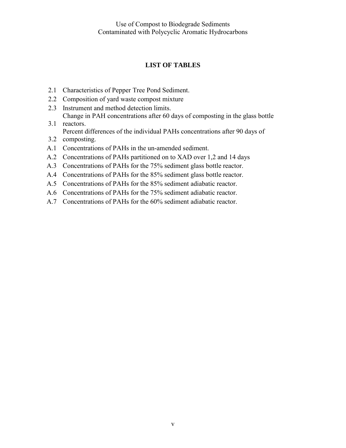## **LIST OF TABLES**

- 2.1 Characteristics of Pepper Tree Pond Sediment.
- 2.2 Composition of yard waste compost mixture
- 2.3 Instrument and method detection limits. Change in PAH concentrations after 60 days of composting in the glass bottle
- 3.1 reactors. Percent differences of the individual PAHs concentrations after 90 days of
- 3.2 composting.
- A.1 Concentrations of PAHs in the un-amended sediment.
- A.2 Concentrations of PAHs partitioned on to XAD over 1,2 and 14 days
- A.3 Concentrations of PAHs for the 75% sediment glass bottle reactor.
- A.4 Concentrations of PAHs for the 85% sediment glass bottle reactor.
- A.5 Concentrations of PAHs for the 85% sediment adiabatic reactor.
- A.6 Concentrations of PAHs for the 75% sediment adiabatic reactor.
- A.7 Concentrations of PAHs for the 60% sediment adiabatic reactor.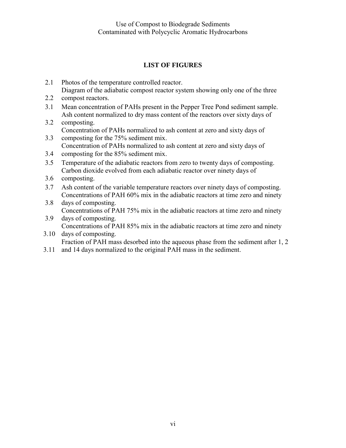## **LIST OF FIGURES**

- 2.1 Photos of the temperature controlled reactor. Diagram of the adiabatic compost reactor system showing only one of the three
- 2.2 compost reactors.
- 3.1 Mean concentration of PAHs present in the Pepper Tree Pond sediment sample. Ash content normalized to dry mass content of the reactors over sixty days of
- 3.2 composting. Concentration of PAHs normalized to ash content at zero and sixty days of
- 3.3 composting for the 75% sediment mix. Concentration of PAHs normalized to ash content at zero and sixty days of
- 3.4 composting for the 85% sediment mix.
- 3.5 Temperature of the adiabatic reactors from zero to twenty days of composting. Carbon dioxide evolved from each adiabatic reactor over ninety days of
- 3.6 composting.
- 3.7 Ash content of the variable temperature reactors over ninety days of composting. Concentrations of PAH 60% mix in the adiabatic reactors at time zero and ninety
- 3.8 days of composting. Concentrations of PAH 75% mix in the adiabatic reactors at time zero and ninety
- 3.9 days of composting. Concentrations of PAH 85% mix in the adiabatic reactors at time zero and ninety
- 3.10 days of composting. Fraction of PAH mass desorbed into the aqueous phase from the sediment after 1, 2
- 3.11 and 14 days normalized to the original PAH mass in the sediment.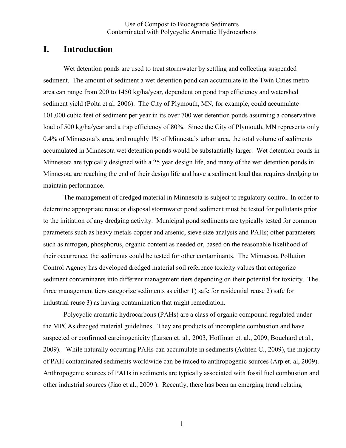## **I. Introduction**

Wet detention ponds are used to treat stormwater by settling and collecting suspended sediment. The amount of sediment a wet detention pond can accumulate in the Twin Cities metro area can range from 200 to 1450 kg/ha/year, dependent on pond trap efficiency and watershed sediment yield (Polta et al. 2006). The City of Plymouth, MN, for example, could accumulate 101,000 cubic feet of sediment per year in its over 700 wet detention ponds assuming a conservative load of 500 kg/ha/year and a trap efficiency of 80%. Since the City of Plymouth, MN represents only 0.4% of Minnesota's area, and roughly 1% of Minnesta's urban area, the total volume of sediments accumulated in Minnesota wet detention ponds would be substantially larger. Wet detention ponds in Minnesota are typically designed with a 25 year design life, and many of the wet detention ponds in Minnesota are reaching the end of their design life and have a sediment load that requires dredging to maintain performance.

The management of dredged material in Minnesota is subject to regulatory control. In order to determine appropriate reuse or disposal stormwater pond sediment must be tested for pollutants prior to the initiation of any dredging activity. Municipal pond sediments are typically tested for common parameters such as heavy metals copper and arsenic, sieve size analysis and PAHs; other parameters such as nitrogen, phosphorus, organic content as needed or, based on the reasonable likelihood of their occurrence, the sediments could be tested for other contaminants. The Minnesota Pollution Control Agency has developed dredged material soil reference toxicity values that categorize sediment contaminants into different management tiers depending on their potential for toxicity. The three management tiers categorize sediments as either 1) safe for residential reuse 2) safe for industrial reuse 3) as having contamination that might remediation.

 Polycyclic aromatic hydrocarbons (PAHs) are a class of organic compound regulated under the MPCAs dredged material guidelines. They are products of incomplete combustion and have suspected or confirmed carcinogenicity (Larsen et. al., 2003, Hoffman et. al., 2009, Bouchard et al., 2009). While naturally occurring PAHs can accumulate in sediments (Achten C., 2009), the majority of PAH contaminated sediments worldwide can be traced to anthropogenic sources (Arp et. al, 2009). Anthropogenic sources of PAHs in sediments are typically associated with fossil fuel combustion and other industrial sources (Jiao et al., 2009 ). Recently, there has been an emerging trend relating

1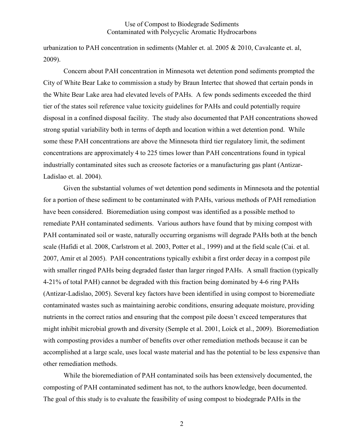urbanization to PAH concentration in sediments (Mahler et. al. 2005 & 2010, Cavalcante et. al, 2009).

 Concern about PAH concentration in Minnesota wet detention pond sediments prompted the City of White Bear Lake to commission a study by Braun Intertec that showed that certain ponds in the White Bear Lake area had elevated levels of PAHs. A few ponds sediments exceeded the third tier of the states soil reference value toxicity guidelines for PAHs and could potentially require disposal in a confined disposal facility. The study also documented that PAH concentrations showed strong spatial variability both in terms of depth and location within a wet detention pond. While some these PAH concentrations are above the Minnesota third tier regulatory limit, the sediment concentrations are approximately 4 to 225 times lower than PAH concentrations found in typical industrially contaminated sites such as creosote factories or a manufacturing gas plant (Antizar-Ladislao et. al. 2004).

 Given the substantial volumes of wet detention pond sediments in Minnesota and the potential for a portion of these sediment to be contaminated with PAHs, various methods of PAH remediation have been considered. Bioremediation using compost was identified as a possible method to remediate PAH contaminated sediments. Various authors have found that by mixing compost with PAH contaminated soil or waste, naturally occurring organisms will degrade PAHs both at the bench scale (Hafidi et al. 2008, Carlstrom et al. 2003, Potter et al., 1999) and at the field scale (Cai. et al. 2007, Amir et al 2005). PAH concentrations typically exhibit a first order decay in a compost pile with smaller ringed PAHs being degraded faster than larger ringed PAHs. A small fraction (typically 4-21% of total PAH) cannot be degraded with this fraction being dominated by 4-6 ring PAHs (Antizar-Ladislao, 2005). Several key factors have been identified in using compost to bioremediate contaminated wastes such as maintaining aerobic conditions, ensuring adequate moisture, providing nutrients in the correct ratios and ensuring that the compost pile doesn't exceed temperatures that might inhibit microbial growth and diversity (Semple et al. 2001, Loick et al., 2009). Bioremediation with composting provides a number of benefits over other remediation methods because it can be accomplished at a large scale, uses local waste material and has the potential to be less expensive than other remediation methods.

 While the bioremediation of PAH contaminated soils has been extensively documented, the composting of PAH contaminated sediment has not, to the authors knowledge, been documented. The goal of this study is to evaluate the feasibility of using compost to biodegrade PAHs in the

2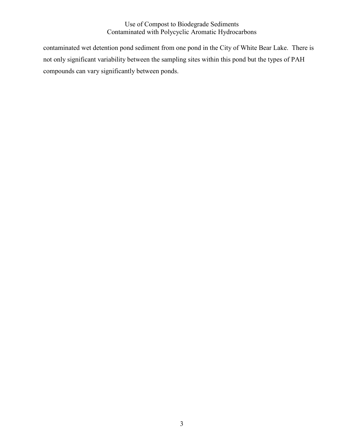contaminated wet detention pond sediment from one pond in the City of White Bear Lake. There is not only significant variability between the sampling sites within this pond but the types of PAH compounds can vary significantly between ponds.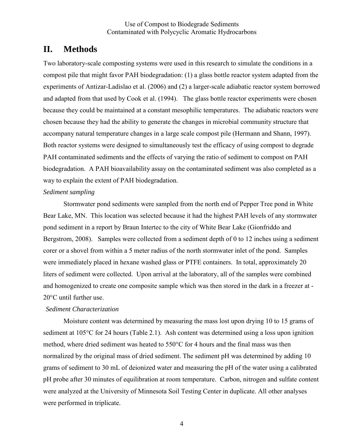## **II. Methods**

Two laboratory-scale composting systems were used in this research to simulate the conditions in a compost pile that might favor PAH biodegradation: (1) a glass bottle reactor system adapted from the experiments of Antizar-Ladislao et al. (2006) and (2) a larger-scale adiabatic reactor system borrowed and adapted from that used by Cook et al. (1994). The glass bottle reactor experiments were chosen because they could be maintained at a constant mesophilic temperatures. The adiabatic reactors were chosen because they had the ability to generate the changes in microbial community structure that accompany natural temperature changes in a large scale compost pile (Hermann and Shann, 1997). Both reactor systems were designed to simultaneously test the efficacy of using compost to degrade PAH contaminated sediments and the effects of varying the ratio of sediment to compost on PAH biodegradation. A PAH bioavailability assay on the contaminated sediment was also completed as a way to explain the extent of PAH biodegradation.

#### *Sediment sampling*

 Stormwater pond sediments were sampled from the north end of Pepper Tree pond in White Bear Lake, MN. This location was selected because it had the highest PAH levels of any stormwater pond sediment in a report by Braun Intertec to the city of White Bear Lake (Gionfriddo and Bergstrom, 2008). Samples were collected from a sediment depth of 0 to 12 inches using a sediment corer or a shovel from within a 5 meter radius of the north stormwater inlet of the pond. Samples were immediately placed in hexane washed glass or PTFE containers. In total, approximately 20 liters of sediment were collected. Upon arrival at the laboratory, all of the samples were combined and homogenized to create one composite sample which was then stored in the dark in a freezer at - 20°C until further use.

#### *Sediment Characterization*

 Moisture content was determined by measuring the mass lost upon drying 10 to 15 grams of sediment at 105°C for 24 hours (Table 2.1). Ash content was determined using a loss upon ignition method, where dried sediment was heated to 550°C for 4 hours and the final mass was then normalized by the original mass of dried sediment. The sediment pH was determined by adding 10 grams of sediment to 30 mL of deionized water and measuring the pH of the water using a calibrated pH probe after 30 minutes of equilibration at room temperature. Carbon, nitrogen and sulfate content were analyzed at the University of Minnesota Soil Testing Center in duplicate. All other analyses were performed in triplicate.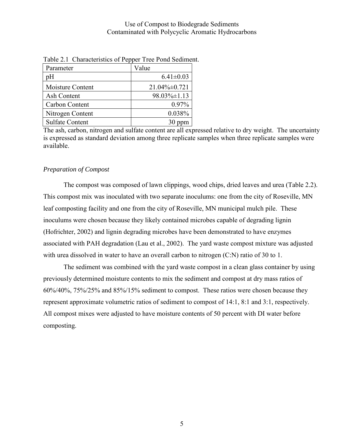| . .                    |                     |
|------------------------|---------------------|
| Parameter              | Value               |
| pH                     | $6.41 \pm 0.03$     |
| Moisture Content       | $21.04\% \pm 0.721$ |
| Ash Content            | $98.03\% \pm 1.13$  |
| Carbon Content         | 0.97%               |
| Nitrogen Content       | 0.038%              |
| <b>Sulfate Content</b> |                     |

Table 2.1 Characteristics of Pepper Tree Pond Sediment.

The ash, carbon, nitrogen and sulfate content are all expressed relative to dry weight. The uncertainty is expressed as standard deviation among three replicate samples when three replicate samples were available.

#### *Preparation of Compost*

The compost was composed of lawn clippings, wood chips, dried leaves and urea (Table 2.2). This compost mix was inoculated with two separate inoculums: one from the city of Roseville, MN leaf composting facility and one from the city of Roseville, MN municipal mulch pile. These inoculums were chosen because they likely contained microbes capable of degrading lignin (Hofrichter, 2002) and lignin degrading microbes have been demonstrated to have enzymes associated with PAH degradation (Lau et al., 2002). The yard waste compost mixture was adjusted with urea dissolved in water to have an overall carbon to nitrogen  $(C:N)$  ratio of 30 to 1.

The sediment was combined with the yard waste compost in a clean glass container by using previously determined moisture contents to mix the sediment and compost at dry mass ratios of 60%/40%, 75%/25% and 85%/15% sediment to compost. These ratios were chosen because they represent approximate volumetric ratios of sediment to compost of 14:1, 8:1 and 3:1, respectively. All compost mixes were adjusted to have moisture contents of 50 percent with DI water before composting.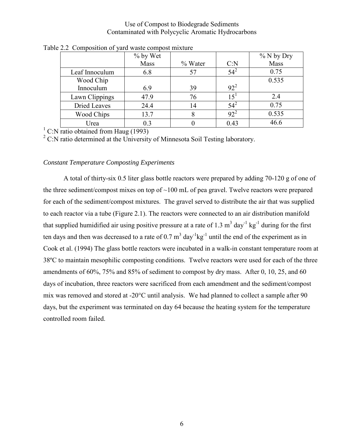|                     | % by Wet |         |          | % N by Dry |
|---------------------|----------|---------|----------|------------|
|                     | Mass     | % Water | C: N     | Mass       |
| Leaf Innoculum      | 6.8      | 57      | $54^{2}$ | 0.75       |
| Wood Chip           |          |         |          | 0.535      |
| Innoculum           | 6.9      | 39      | $92^2$   |            |
| Lawn Clippings      | 47.9     | 76      | $15^{1}$ | 2.4        |
| <b>Dried Leaves</b> | 24.4     | 14      | $54^{2}$ | 0.75       |
| Wood Chips          | 13.7     |         | $92^2$   | 0.535      |
| Urea                | 0.3      |         | 0.43     | 46.6       |

Table 2.2 Composition of yard waste compost mixture

<sup>1</sup> C:N ratio obtained from Haug (1993)

 $2$  C:N ratio determined at the University of Minnesota Soil Testing laboratory.

#### *Constant Temperature Composting Experiments*

A total of thirty-six 0.5 liter glass bottle reactors were prepared by adding 70-120 g of one of the three sediment/compost mixes on top of  $\sim 100$  mL of pea gravel. Twelve reactors were prepared for each of the sediment/compost mixtures. The gravel served to distribute the air that was supplied to each reactor via a tube (Figure 2.1). The reactors were connected to an air distribution manifold that supplied humidified air using positive pressure at a rate of 1.3  $m^3$  day<sup>-1</sup> kg<sup>-1</sup> during for the first ten days and then was decreased to a rate of 0.7  $m^3$  day<sup>-1</sup>kg<sup>-1</sup> until the end of the experiment as in Cook et al. (1994) The glass bottle reactors were incubated in a walk-in constant temperature room at 38ºC to maintain mesophilic composting conditions. Twelve reactors were used for each of the three amendments of 60%, 75% and 85% of sediment to compost by dry mass. After 0, 10, 25, and 60 days of incubation, three reactors were sacrificed from each amendment and the sediment/compost mix was removed and stored at -20°C until analysis. We had planned to collect a sample after 90 days, but the experiment was terminated on day 64 because the heating system for the temperature controlled room failed.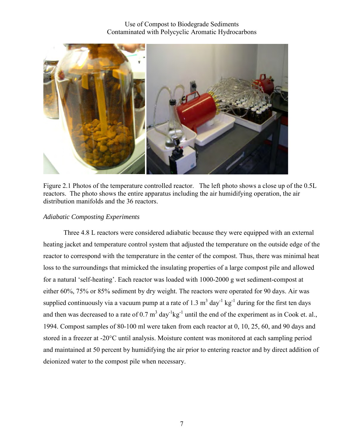

Figure 2.1 Photos of the temperature controlled reactor. The left photo shows a close up of the 0.5L reactors. The photo shows the entire apparatus including the air humidifying operation, the air distribution manifolds and the 36 reactors.

#### *Adiabatic Composting Experiments*

Three 4.8 L reactors were considered adiabatic because they were equipped with an external heating jacket and temperature control system that adjusted the temperature on the outside edge of the reactor to correspond with the temperature in the center of the compost. Thus, there was minimal heat loss to the surroundings that mimicked the insulating properties of a large compost pile and allowed for a natural 'self-heating'. Each reactor was loaded with 1000-2000 g wet sediment-compost at either 60%, 75% or 85% sediment by dry weight. The reactors were operated for 90 days. Air was supplied continuously via a vacuum pump at a rate of 1.3  $m<sup>3</sup>$  day<sup>-1</sup> kg<sup>-1</sup> during for the first ten days and then was decreased to a rate of 0.7  $m^3$  day<sup>-1</sup>kg<sup>-1</sup> until the end of the experiment as in Cook et. al., 1994. Compost samples of 80-100 ml were taken from each reactor at 0, 10, 25, 60, and 90 days and stored in a freezer at -20°C until analysis. Moisture content was monitored at each sampling period and maintained at 50 percent by humidifying the air prior to entering reactor and by direct addition of deionized water to the compost pile when necessary.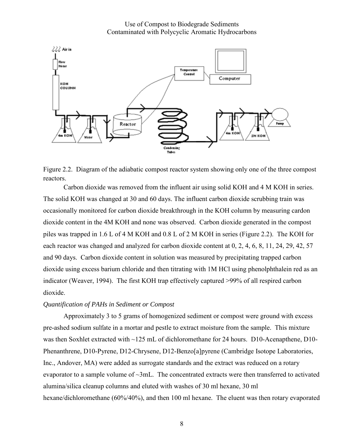



Figure 2.2. Diagram of the adiabatic compost reactor system showing only one of the three compost reactors.

Carbon dioxide was removed from the influent air using solid KOH and 4 M KOH in series. The solid KOH was changed at 30 and 60 days. The influent carbon dioxide scrubbing train was occasionally monitored for carbon dioxide breakthrough in the KOH column by measuring cardon dioxide content in the 4M KOH and none was observed. Carbon dioxide generated in the compost piles was trapped in 1.6 L of 4 M KOH and 0.8 L of 2 M KOH in series (Figure 2.2). The KOH for each reactor was changed and analyzed for carbon dioxide content at 0, 2, 4, 6, 8, 11, 24, 29, 42, 57 and 90 days. Carbon dioxide content in solution was measured by precipitating trapped carbon dioxide using excess barium chloride and then titrating with 1M HCl using phenolphthalein red as an indicator (Weaver, 1994). The first KOH trap effectively captured >99% of all respired carbon dioxide.

#### *Quantification of PAHs in Sediment or Compost*

 Approximately 3 to 5 grams of homogenized sediment or compost were ground with excess pre-ashed sodium sulfate in a mortar and pestle to extract moisture from the sample. This mixture was then Soxhlet extracted with ~125 mL of dichloromethane for 24 hours. D10-Acenapthene, D10-Phenanthrene, D10-Pyrene, D12-Chrysene, D12-Benzo[a]pyrene (Cambridge Isotope Laboratories, Inc., Andover, MA) were added as surrogate standards and the extract was reduced on a rotary evaporator to a sample volume of  $\sim 3$ mL. The concentrated extracts were then transferred to activated alumina/silica cleanup columns and eluted with washes of 30 ml hexane, 30 ml hexane/dichloromethane (60%/40%), and then 100 ml hexane. The eluent was then rotary evaporated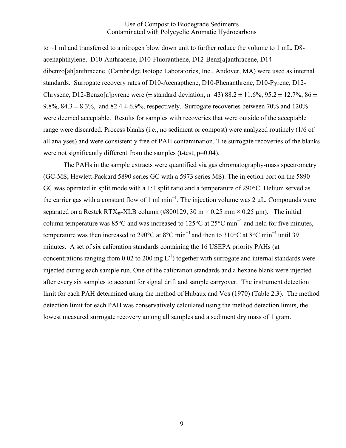to ~1 ml and transferred to a nitrogen blow down unit to further reduce the volume to 1 mL. D8 acenaphthylene, D10-Anthracene, D10-Fluoranthene, D12-Benz[a]anthracene, D14 dibenzo[ah]anthracene (Cambridge Isotope Laboratories, Inc., Andover, MA) were used as internal standards. Surrogate recovery rates of D10-Acenapthene, D10-Phenanthrene, D10-Pyrene, D12- Chrysene, D12-Benzo[a]pyrene were ( $\pm$  standard deviation, n=43) 88.2  $\pm$  11.6%, 95.2  $\pm$  12.7%, 86  $\pm$ 9.8%,  $84.3 \pm 8.3$ %, and  $82.4 \pm 6.9$ %, respectively. Surrogate recoveries between 70% and 120% were deemed acceptable. Results for samples with recoveries that were outside of the acceptable range were discarded. Process blanks (i.e., no sediment or compost) were analyzed routinely (1/6 of all analyses) and were consistently free of PAH contamination. The surrogate recoveries of the blanks were not significantly different from the samples (t-test, p=0.04).

The PAHs in the sample extracts were quantified via gas chromatography-mass spectrometry (GC-MS; Hewlett-Packard 5890 series GC with a 5973 series MS). The injection port on the 5890 GC was operated in split mode with a 1:1 split ratio and a temperature of 290°C. Helium served as the carrier gas with a constant flow of 1 ml min−1. The injection volume was 2 μL. Compounds were separated on a Restek RTX®-XLB column (#800129, 30 m  $\times$  0.25 mm  $\times$  0.25 µm). The initial column temperature was 85°C and was increased to 125°C at 25°C min−1 and held for five minutes, temperature was then increased to 290°C at 8°C min<sup>-1</sup> and then to 310°C at 8°C min<sup>-1</sup> until 39 minutes. A set of six calibration standards containing the 16 USEPA priority PAHs (at concentrations ranging from 0.02 to 200 mg  $L^{-1}$ ) together with surrogate and internal standards were injected during each sample run. One of the calibration standards and a hexane blank were injected after every six samples to account for signal drift and sample carryover. The instrument detection limit for each PAH determined using the method of Hubaux and Vos (1970) (Table 2.3). The method detection limit for each PAH was conservatively calculated using the method detection limits, the lowest measured surrogate recovery among all samples and a sediment dry mass of 1 gram.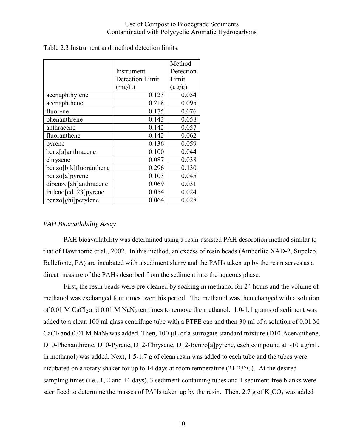|                        |                 | Method      |
|------------------------|-----------------|-------------|
|                        | Instrument      | Detection   |
|                        | Detection Limit | Limit       |
|                        | (mg/L)          | $(\mu g/g)$ |
| acenaphthylene         | 0.123           | 0.054       |
| acenaphthene           | 0.218           | 0.095       |
| fluorene               | 0.175           | 0.076       |
| phenanthrene           | 0.143           | 0.058       |
| anthracene             | 0.142           | 0.057       |
| fluoranthene           | 0.142           | 0.062       |
| pyrene                 | 0.136           | 0.059       |
| benz[a]anthracene      | 0.100           | 0.044       |
| chrysene               | 0.087           | 0.038       |
| benzo[bjk]fluoranthene | 0.296           | 0.130       |
| benzo[a]pyrene         | 0.103           | 0.045       |
| dibenzo[ah]anthracene  | 0.069           | 0.031       |
| indeno[cd123] pyrene   | 0.054           | 0.024       |
| benzo[ghi]perylene     | 0.064           | 0.028       |

Table 2.3 Instrument and method detection limits.

#### *PAH Bioavailability Assay*

PAH bioavailability was determined using a resin-assisted PAH desorption method similar to that of Hawthorne et al., 2002. In this method, an excess of resin beads (Amberlite XAD-2, Supelco, Bellefonte, PA) are incubated with a sediment slurry and the PAHs taken up by the resin serves as a direct measure of the PAHs desorbed from the sediment into the aqueous phase.

First, the resin beads were pre-cleaned by soaking in methanol for 24 hours and the volume of methanol was exchanged four times over this period. The methanol was then changed with a solution of 0.01 M CaCl<sub>2</sub> and 0.01 M NaN<sub>3</sub> ten times to remove the methanol. 1.0-1.1 grams of sediment was added to a clean 100 ml glass centrifuge tube with a PTFE cap and then 30 ml of a solution of 0.01 M CaCl<sub>2</sub> and 0.01 M NaN<sub>3</sub> was added. Then, 100  $\mu$ L of a surrogate standard mixture (D10-Acenapthene, D10-Phenanthrene, D10-Pyrene, D12-Chrysene, D12-Benzo[a]pyrene, each compound at ~10 µg/mL in methanol) was added. Next, 1.5-1.7 g of clean resin was added to each tube and the tubes were incubated on a rotary shaker for up to 14 days at room temperature (21-23°C). At the desired sampling times (i.e., 1, 2 and 14 days), 3 sediment-containing tubes and 1 sediment-free blanks were sacrificed to determine the masses of PAHs taken up by the resin. Then, 2.7 g of  $K_2CO_3$  was added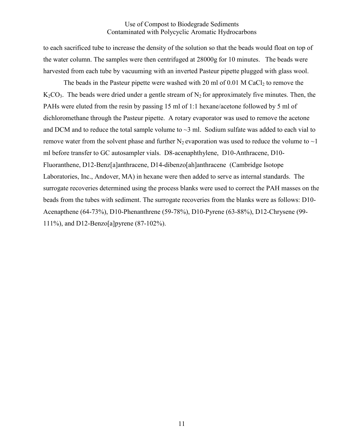to each sacrificed tube to increase the density of the solution so that the beads would float on top of the water column. The samples were then centrifuged at 28000g for 10 minutes. The beads were harvested from each tube by vacuuming with an inverted Pasteur pipette plugged with glass wool.

The beads in the Pasteur pipette were washed with 20 ml of  $0.01$  M CaCl<sub>2</sub> to remove the  $K_2CO_3$ . The beads were dried under a gentle stream of  $N_2$  for approximately five minutes. Then, the PAHs were eluted from the resin by passing 15 ml of 1:1 hexane/acetone followed by 5 ml of dichloromethane through the Pasteur pipette. A rotary evaporator was used to remove the acetone and DCM and to reduce the total sample volume to  $\sim$ 3 ml. Sodium sulfate was added to each vial to remove water from the solvent phase and further  $N_2$  evaporation was used to reduce the volume to  $\sim$ 1 ml before transfer to GC autosampler vials. D8-acenaphthylene, D10-Anthracene, D10- Fluoranthene, D12-Benz[a]anthracene, D14-dibenzo[ah]anthracene (Cambridge Isotope Laboratories, Inc., Andover, MA) in hexane were then added to serve as internal standards. The surrogate recoveries determined using the process blanks were used to correct the PAH masses on the beads from the tubes with sediment. The surrogate recoveries from the blanks were as follows: D10- Acenapthene (64-73%), D10-Phenanthrene (59-78%), D10-Pyrene (63-88%), D12-Chrysene (99- 111%), and D12-Benzo[a]pyrene (87-102%).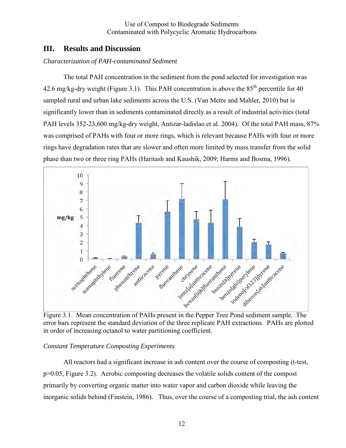## **III. Results and Discussion**

#### *Characterization of PAH-contaminated Sediment*

 The total PAH concentration in the sediment from the pond selected for investigation was 42.6 mg/kg-dry weight (Figure 3.1). This PAH concentration is above the  $85<sup>th</sup>$  percentile for 40 sampled rural and urban lake sediments across the U.S. (Van Metre and Mahler, 2010) but is significantly lower than in sediments contaminated directly as a result of industrial activities (total PAH levels 352-23,600 mg/kg-dry weight, Antizar-ladislao et al. 2004). Of the total PAH mass, 87% was comprised of PAHs with four or more rings, which is relevant because PAHs with four or more rings have degradation rates that are slower and often more limited by mass transfer from the solid phase than two or three ring PAHs (Haritash and Kaushik, 2009; Harms and Bosma, 1996).



error bars represent the standard deviation of the three replicate PAH extractions. PAHs are plotted in order of increasing octanol to water partitioning coefficient.

### *Constant Temperature Composting Experiments*

 All reactors had a significant increase in ash content over the course of composting (t-test, p>0.05, Figure 3.2). Aerobic composting decreases the volatile solids content of the compost primarily by converting organic matter into water vapor and carbon dioxide while leaving the inorganic solids behind (Finstein, 1986). Thus, over the course of a composting trial, the ash content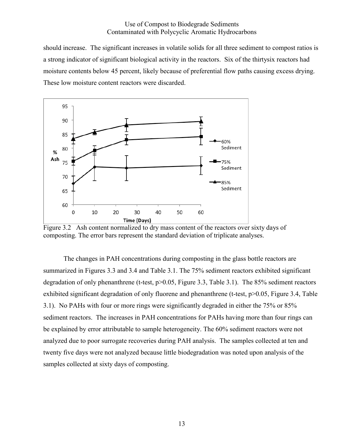should increase. The significant increases in volatile solids for all three sediment to compost ratios is a strong indicator of significant biological activity in the reactors. Six of the thirtysix reactors had moisture contents below 45 percent, likely because of preferential flow paths causing excess drying. These low moisture content reactors were discarded.



Figure 3.2 Ash content normalized to dry mass content of the reactors over sixty days of composting. The error bars represent the standard deviation of triplicate analyses.

 The changes in PAH concentrations during composting in the glass bottle reactors are summarized in Figures 3.3 and 3.4 and Table 3.1. The 75% sediment reactors exhibited significant degradation of only phenanthrene (t-test, p>0.05, Figure 3.3, Table 3.1). The 85% sediment reactors exhibited significant degradation of only fluorene and phenanthrene (t-test, p>0.05, Figure 3.4, Table 3.1). No PAHs with four or more rings were significantly degraded in either the 75% or 85% sediment reactors. The increases in PAH concentrations for PAHs having more than four rings can be explained by error attributable to sample heterogeneity. The 60% sediment reactors were not analyzed due to poor surrogate recoveries during PAH analysis. The samples collected at ten and twenty five days were not analyzed because little biodegradation was noted upon analysis of the samples collected at sixty days of composting.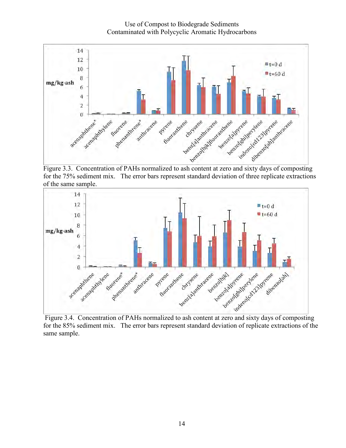Use of Compost to Biodegrade Sediments Contaminated with Polycyclic Aromatic Hydrocarbons



for the 75% sediment mix. The error bars represent standard deviation of three replicate extractions of the same sample.



for the 85% sediment mix. The error bars represent standard deviation of replicate extractions of the same sample.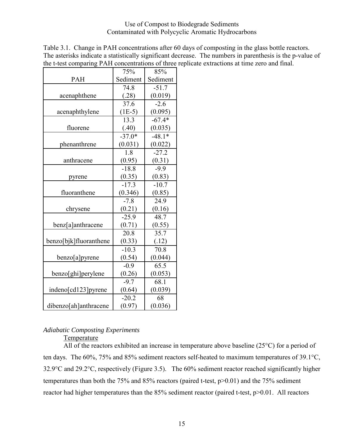| $\frac{1}{2}$          |                   | oncentrations of three |
|------------------------|-------------------|------------------------|
|                        | 75%               | 85%                    |
| <b>PAH</b>             | Sediment          | Sediment               |
|                        | 74.8              | $-51.7$                |
| acenaphthene           | (.28)             | (0.019)                |
|                        | 37.6              | $-2.6$                 |
| acenaphthylene         | $(1E-5)$          | (0.095)                |
|                        | $13.\overline{3}$ | $-67.4*$               |
| fluorene               | (.40)             | (0.035)                |
|                        | $-37.0*$          | $-48.1*$               |
| phenanthrene           | (0.031)           | (0.022)                |
|                        | 1.8               | $-27.2$                |
| anthracene             | (0.95)            | (0.31)                 |
|                        | $-18.8$           | $-9.9$                 |
| pyrene                 | (0.35)            | (0.83)                 |
|                        | $-17.3$           | $-10.7$                |
| fluoranthene           | (0.346)           | (0.85)                 |
|                        | $-7.8$            | 24.9                   |
| chrysene               | (0.21)            | (0.16)                 |
|                        | $-25.9$           | 48.7                   |
| benz[a]anthracene      | (0.71)            | (0.55)                 |
|                        | 20.8              | 35.7                   |
| benzo[bjk]fluoranthene | (0.33)            | (.12)                  |
|                        | $-10.3$           | 70.8                   |
| benzo[a]pyrene         | (0.54)            | (0.044)                |
|                        | $-0.9$            | 65.5                   |
| benzo[ghi]perylene     | (0.26)            | (0.053)                |
|                        | $-9.7$            | 68.1                   |
| indeno[cd123]pyrene    | (0.64)            | (0.039)                |
|                        | $-20.2$           | 68                     |
| dibenzo[ah]anthracene  | (0.97)            | (0.036)                |

Table 3.1. Change in PAH concentrations after 60 days of composting in the glass bottle reactors. The asterisks indicate a statistically significant decrease. The numbers in parenthesis is the p-value of the t-test comparing PAH concentrations of three replicate extractions at time zero and final.

### *Adiabatic Composting Experiments*

Temperature

 All of the reactors exhibited an increase in temperature above baseline (25°C) for a period of ten days. The 60%, 75% and 85% sediment reactors self-heated to maximum temperatures of 39.1°C, 32.9°C and 29.2°C, respectively (Figure 3.5). The 60% sediment reactor reached significantly higher temperatures than both the 75% and 85% reactors (paired t-test, p>0.01) and the 75% sediment reactor had higher temperatures than the 85% sediment reactor (paired t-test, p>0.01. All reactors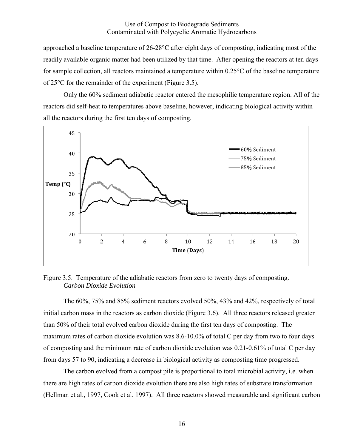approached a baseline temperature of 26-28°C after eight days of composting, indicating most of the readily available organic matter had been utilized by that time. After opening the reactors at ten days for sample collection, all reactors maintained a temperature within 0.25°C of the baseline temperature of 25°C for the remainder of the experiment (Figure 3.5).

 Only the 60% sediment adiabatic reactor entered the mesophilic temperature region. All of the reactors did self-heat to temperatures above baseline, however, indicating biological activity within all the reactors during the first ten days of composting.



Figure 3.5. Temperature of the adiabatic reactors from zero to twenty days of composting. *Carbon Dioxide Evolution* 

 The 60%, 75% and 85% sediment reactors evolved 50%, 43% and 42%, respectively of total initial carbon mass in the reactors as carbon dioxide (Figure 3.6). All three reactors released greater than 50% of their total evolved carbon dioxide during the first ten days of composting. The maximum rates of carbon dioxide evolution was 8.6-10.0% of total C per day from two to four days of composting and the minimum rate of carbon dioxide evolution was 0.21-0.61% of total C per day from days 57 to 90, indicating a decrease in biological activity as composting time progressed.

The carbon evolved from a compost pile is proportional to total microbial activity, i.e. when there are high rates of carbon dioxide evolution there are also high rates of substrate transformation (Hellman et al., 1997, Cook et al. 1997). All three reactors showed measurable and significant carbon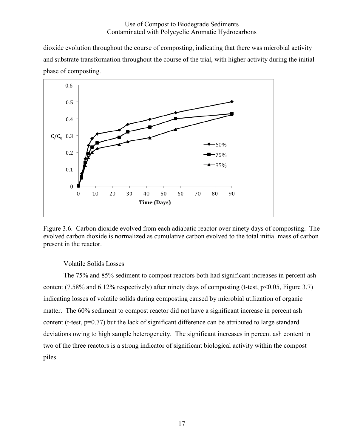dioxide evolution throughout the course of composting, indicating that there was microbial activity and substrate transformation throughout the course of the trial, with higher activity during the initial phase of composting.



Figure 3.6. Carbon dioxide evolved from each adiabatic reactor over ninety days of composting. The evolved carbon dioxide is normalized as cumulative carbon evolved to the total initial mass of carbon present in the reactor.

### Volatile Solids Losses

 The 75% and 85% sediment to compost reactors both had significant increases in percent ash content (7.58% and 6.12% respectively) after ninety days of composting (t-test, p<0.05, Figure 3.7) indicating losses of volatile solids during composting caused by microbial utilization of organic matter. The 60% sediment to compost reactor did not have a significant increase in percent ash content (t-test, p=0.77) but the lack of significant difference can be attributed to large standard deviations owing to high sample heterogeneity. The significant increases in percent ash content in two of the three reactors is a strong indicator of significant biological activity within the compost piles.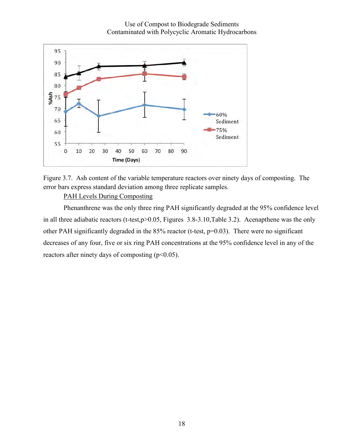



Figure 3.7. Ash content of the variable temperature reactors over ninety days of composting. The error bars express standard deviation among three replicate samples.

#### PAH Levels During Composting

Phenanthrene was the only three ring PAH significantly degraded at the 95% confidence level in all three adiabatic reactors (t-test,p>0.05, Figures 3.8-3.10, Table 3.2). Acenapthene was the only other PAH significantly degraded in the 85% reactor (t-test, p=0.03). There were no significant decreases of any four, five or six ring PAH concentrations at the 95% confidence level in any of the reactors after ninety days of composting  $(p<0.05)$ .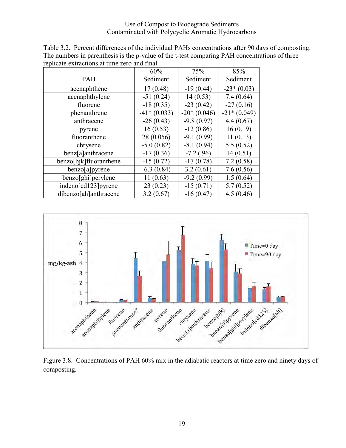| Table 3.2. Percent differences of the individual PAHs concentrations after 90 days of composting. |
|---------------------------------------------------------------------------------------------------|
| The numbers in parenthesis is the p-value of the t-test comparing PAH concentrations of three     |
| replicate extractions at time zero and final.                                                     |

|                        | 60%           | 75%           | 85%           |
|------------------------|---------------|---------------|---------------|
| <b>PAH</b>             | Sediment      | Sediment      | Sediment      |
| acenaphthene           | 17(0.48)      | $-19(0.44)$   | $-23*(0.03)$  |
| acenaphthylene         | $-51(0.24)$   | 14(0.53)      | 7.4(0.64)     |
| fluorene               | $-18(0.35)$   | $-23(0.42)$   | $-27(0.16)$   |
| phenanthrene           | $-41*(0.033)$ | $-20*(0.046)$ | $-21*(0.049)$ |
| anthracene             | $-26(0.43)$   | $-9.8(0.97)$  | 4.4(0.67)     |
| pyrene                 | 16(0.53)      | $-12(0.86)$   | 16(0.19)      |
| fluoranthene           | 28 (0.056)    | $-9.1(0.99)$  | 11(0.13)      |
| chrysene               | $-5.0(0.82)$  | $-8.1(0.94)$  | 5.5(0.52)     |
| benz[a]anthracene      | $-17(0.36)$   | $-7.2(0.96)$  | 14(0.51)      |
| benzo[bjk]fluoranthene | $-15(0.72)$   | $-17(0.78)$   | 7.2(0.58)     |
| benzo[a]pyrene         | $-6.3(0.84)$  | 3.2(0.61)     | 7.6(0.56)     |
| benzo[ghi]perylene     | 11(0.63)      | $-9.2(0.99)$  | 1.5(0.64)     |
| indeno[cd123] pyrene   | 23(0.23)      | $-15(0.71)$   | 5.7(0.52)     |
| dibenzo[ah]anthracene  | 3.2(0.67)     | $-16(0.47)$   | 4.5(0.46)     |



composting.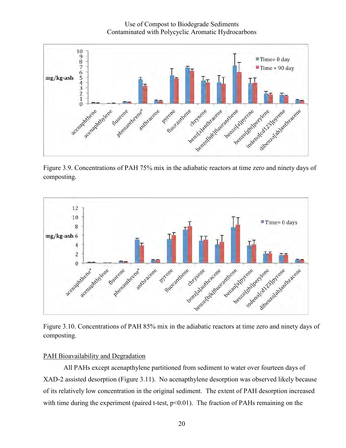Use of Compost to Biodegrade Sediments Contaminated with Polycyclic Aromatic Hydrocarbons



Figure 3.9. Concentrations of PAH 75% mix in the adiabatic reactors at time zero and ninety days of composting.



Figure 3.10. Concentrations of PAH 85% mix in the adiabatic reactors at time zero and ninety days of composting.

#### PAH Bioavailability and Degradation

All PAHs except acenapthylene partitioned from sediment to water over fourteen days of XAD-2 assisted desorption (Figure 3.11). No acenapthylene desorption was observed likely because of its relatively low concentration in the original sediment. The extent of PAH desorption increased with time during the experiment (paired t-test,  $p<0.01$ ). The fraction of PAHs remaining on the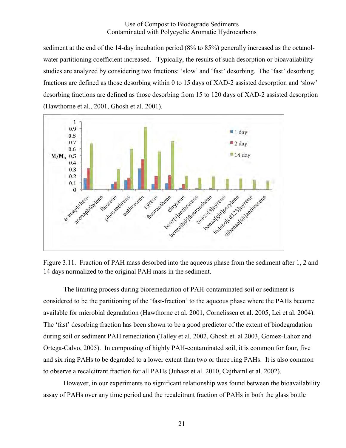sediment at the end of the 14-day incubation period (8% to 85%) generally increased as the octanolwater partitioning coefficient increased. Typically, the results of such desorption or bioavailability studies are analyzed by considering two fractions: 'slow' and 'fast' desorbing. The 'fast' desorbing fractions are defined as those desorbing within 0 to 15 days of XAD-2 assisted desorption and 'slow' desorbing fractions are defined as those desorbing from 15 to 120 days of XAD-2 assisted desorption (Hawthorne et al., 2001, Ghosh et al. 2001).





 The limiting process during bioremediation of PAH-contaminated soil or sediment is considered to be the partitioning of the 'fast-fraction' to the aqueous phase where the PAHs become available for microbial degradation (Hawthorne et al. 2001, Cornelissen et al. 2005, Lei et al. 2004). The 'fast' desorbing fraction has been shown to be a good predictor of the extent of biodegradation during soil or sediment PAH remediation (Talley et al. 2002, Ghosh et. al 2003, Gomez-Lahoz and Ortega-Calvo, 2005). In composting of highly PAH-contaminated soil, it is common for four, five and six ring PAHs to be degraded to a lower extent than two or three ring PAHs. It is also common to observe a recalcitrant fraction for all PAHs (Juhasz et al. 2010, Cajthaml et al. 2002).

However, in our experiments no significant relationship was found between the bioavailability assay of PAHs over any time period and the recalcitrant fraction of PAHs in both the glass bottle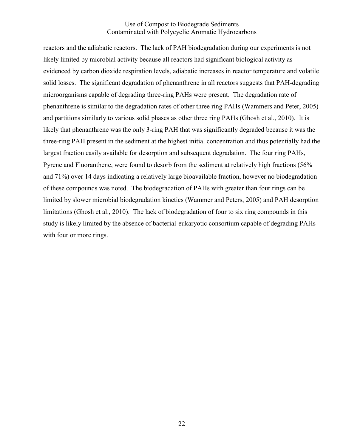reactors and the adiabatic reactors. The lack of PAH biodegradation during our experiments is not likely limited by microbial activity because all reactors had significant biological activity as evidenced by carbon dioxide respiration levels, adiabatic increases in reactor temperature and volatile solid losses. The significant degradation of phenanthrene in all reactors suggests that PAH-degrading microorganisms capable of degrading three-ring PAHs were present. The degradation rate of phenanthrene is similar to the degradation rates of other three ring PAHs (Wammers and Peter, 2005) and partitions similarly to various solid phases as other three ring PAHs (Ghosh et al., 2010). It is likely that phenanthrene was the only 3-ring PAH that was significantly degraded because it was the three-ring PAH present in the sediment at the highest initial concentration and thus potentially had the largest fraction easily available for desorption and subsequent degradation. The four ring PAHs, Pyrene and Fluoranthene, were found to desorb from the sediment at relatively high fractions (56% and 71%) over 14 days indicating a relatively large bioavailable fraction, however no biodegradation of these compounds was noted. The biodegradation of PAHs with greater than four rings can be limited by slower microbial biodegradation kinetics (Wammer and Peters, 2005) and PAH desorption limitations (Ghosh et al., 2010). The lack of biodegradation of four to six ring compounds in this study is likely limited by the absence of bacterial-eukaryotic consortium capable of degrading PAHs with four or more rings.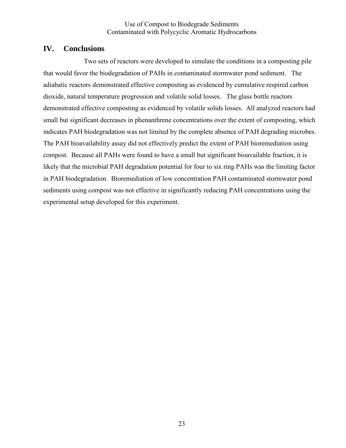## **IV. Conclusions**

Two sets of reactors were developed to simulate the conditions in a composting pile that would favor the biodegradation of PAHs in contaminated stormwater pond sediment. The adiabatic reactors demonstrated effective composting as evidenced by cumulative respired carbon dioxide, natural temperature progression and volatile solid losses. The glass bottle reactors demonstrated effective composting as evidenced by volatile solids losses. All analyzed reactors had small but significant decreases in phenanthrene concentrations over the extent of composting, which indicates PAH biodegradation was not limited by the complete absence of PAH degrading microbes. The PAH bioavailability assay did not effectively predict the extent of PAH bioremediation using compost. Because all PAHs were found to have a small but significant bioavailable fraction, it is likely that the microbial PAH degradation potential for four to six ring PAHs was the limiting factor in PAH biodegradation. Bioremediation of low concentration PAH contaminated stormwater pond sediments using compost was not effective in significantly reducing PAH concentrations using the experimental setup developed for this experiment.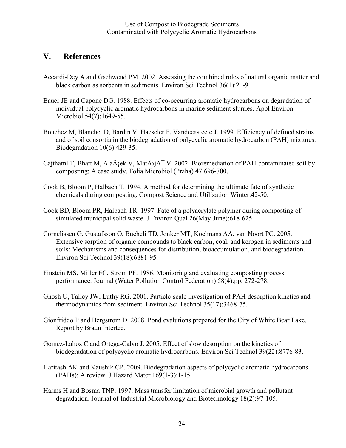## **V. References**

- Accardi-Dey A and Gschwend PM. 2002. Assessing the combined roles of natural organic matter and black carbon as sorbents in sediments. Environ Sci Technol 36(1):21-9.
- Bauer JE and Capone DG. 1988. Effects of co-occurring aromatic hydrocarbons on degradation of individual polycyclic aromatic hydrocarbons in marine sediment slurries. Appl Environ Microbiol 54(7):1649-55.
- Bouchez M, Blanchet D, Bardin V, Haeseler F, Vandecasteele J. 1999. Efficiency of defined strains and of soil consortia in the biodegradation of polycyclic aromatic hydrocarbon (PAH) mixtures. Biodegradation 10(6):429-35.
- Cajthaml T, Bhatt M, Å a $\AA$ jek V, Mat $\AA$ j $\AA^-$ V. 2002. Bioremediation of PAH-contaminated soil by composting: A case study. Folia Microbiol (Praha) 47:696-700.
- Cook B, Bloom P, Halbach T. 1994. A method for determining the ultimate fate of synthetic chemicals during composting. Compost Science and Utilization Winter:42-50.
- Cook BD, Bloom PR, Halbach TR. 1997. Fate of a polyacrylate polymer during composting of simulated municipal solid waste. J Environ Qual 26(May-June):618-625.
- Cornelissen G, Gustafsson O, Bucheli TD, Jonker MT, Koelmans AA, van Noort PC. 2005. Extensive sorption of organic compounds to black carbon, coal, and kerogen in sediments and soils: Mechanisms and consequences for distribution, bioaccumulation, and biodegradation. Environ Sci Technol 39(18):6881-95.
- Finstein MS, Miller FC, Strom PF. 1986. Monitoring and evaluating composting process performance. Journal (Water Pollution Control Federation) 58(4):pp. 272-278.
- Ghosh U, Talley JW, Luthy RG. 2001. Particle-scale investigation of PAH desorption kinetics and thermodynamics from sediment. Environ Sci Technol 35(17):3468-75.
- Gionfriddo P and Bergstrom D. 2008. Pond evalutions prepared for the City of White Bear Lake. Report by Braun Intertec.
- Gomez-Lahoz C and Ortega-Calvo J. 2005. Effect of slow desorption on the kinetics of biodegradation of polycyclic aromatic hydrocarbons. Environ Sci Technol 39(22):8776-83.
- Haritash AK and Kaushik CP. 2009. Biodegradation aspects of polycyclic aromatic hydrocarbons (PAHs): A review. J Hazard Mater 169(1-3):1-15.
- Harms H and Bosma TNP. 1997. Mass transfer limitation of microbial growth and pollutant degradation. Journal of Industrial Microbiology and Biotechnology 18(2):97-105.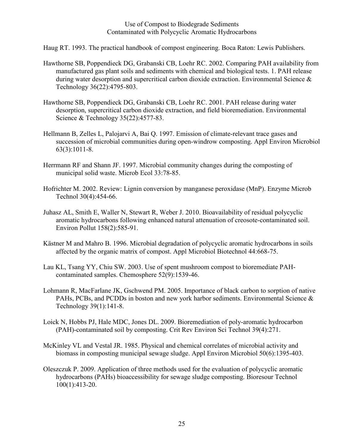Haug RT. 1993. The practical handbook of compost engineering. Boca Raton: Lewis Publishers.

- Hawthorne SB, Poppendieck DG, Grabanski CB, Loehr RC. 2002. Comparing PAH availability from manufactured gas plant soils and sediments with chemical and biological tests. 1. PAH release during water desorption and supercritical carbon dioxide extraction. Environmental Science & Technology 36(22):4795-803.
- Hawthorne SB, Poppendieck DG, Grabanski CB, Loehr RC. 2001. PAH release during water desorption, supercritical carbon dioxide extraction, and field bioremediation. Environmental Science & Technology 35(22):4577-83.
- Hellmann B, Zelles L, Palojarvi A, Bai Q. 1997. Emission of climate-relevant trace gases and succession of microbial communities during open-windrow composting. Appl Environ Microbiol 63(3):1011-8.
- Herrmann RF and Shann JF. 1997. Microbial community changes during the composting of municipal solid waste. Microb Ecol 33:78-85.
- Hofrichter M. 2002. Review: Lignin conversion by manganese peroxidase (MnP). Enzyme Microb Technol 30(4):454-66.
- Juhasz AL, Smith E, Waller N, Stewart R, Weber J. 2010. Bioavailability of residual polycyclic aromatic hydrocarbons following enhanced natural attenuation of creosote-contaminated soil. Environ Pollut 158(2):585-91.
- Kästner M and Mahro B. 1996. Microbial degradation of polycyclic aromatic hydrocarbons in soils affected by the organic matrix of compost. Appl Microbiol Biotechnol 44:668-75.
- Lau KL, Tsang YY, Chiu SW. 2003. Use of spent mushroom compost to bioremediate PAHcontaminated samples. Chemosphere 52(9):1539-46.
- Lohmann R, MacFarlane JK, Gschwend PM. 2005. Importance of black carbon to sorption of native PAHs, PCBs, and PCDDs in boston and new york harbor sediments. Environmental Science & Technology 39(1):141-8.
- Loick N, Hobbs PJ, Hale MDC, Jones DL. 2009. Bioremediation of poly-aromatic hydrocarbon (PAH)-contaminated soil by composting. Crit Rev Environ Sci Technol 39(4):271.
- McKinley VL and Vestal JR. 1985. Physical and chemical correlates of microbial activity and biomass in composting municipal sewage sludge. Appl Environ Microbiol 50(6):1395-403.
- Oleszczuk P. 2009. Application of three methods used for the evaluation of polycyclic aromatic hydrocarbons (PAHs) bioaccessibility for sewage sludge composting. Bioresour Technol 100(1):413-20.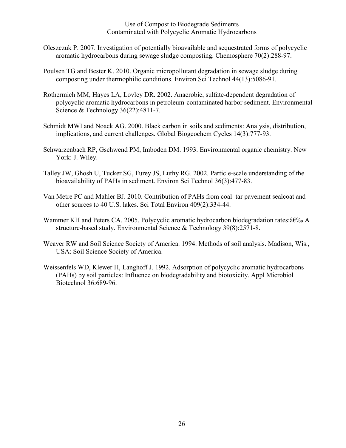- Oleszczuk P. 2007. Investigation of potentially bioavailable and sequestrated forms of polycyclic aromatic hydrocarbons during sewage sludge composting. Chemosphere 70(2):288-97.
- Poulsen TG and Bester K. 2010. Organic micropollutant degradation in sewage sludge during composting under thermophilic conditions. Environ Sci Technol 44(13):5086-91.
- Rothermich MM, Hayes LA, Lovley DR. 2002. Anaerobic, sulfate-dependent degradation of polycyclic aromatic hydrocarbons in petroleum-contaminated harbor sediment. Environmental Science & Technology 36(22):4811-7.
- Schmidt MWI and Noack AG. 2000. Black carbon in soils and sediments: Analysis, distribution, implications, and current challenges. Global Biogeochem Cycles 14(3):777-93.
- Schwarzenbach RP, Gschwend PM, Imboden DM. 1993. Environmental organic chemistry. New York: J. Wiley.
- Talley JW, Ghosh U, Tucker SG, Furey JS, Luthy RG. 2002. Particle-scale understanding of the bioavailability of PAHs in sediment. Environ Sci Technol 36(3):477-83.
- Van Metre PC and Mahler BJ. 2010. Contribution of PAHs from coal–tar pavement sealcoat and other sources to 40 U.S. lakes. Sci Total Environ 409(2):334-44.
- Wammer KH and Peters CA. 2005. Polycyclic aromatic hydrocarbon biodegradation rates: $\hat{a}\in\%$  A structure-based study. Environmental Science & Technology 39(8):2571-8.
- Weaver RW and Soil Science Society of America. 1994. Methods of soil analysis. Madison, Wis., USA: Soil Science Society of America.
- Weissenfels WD, Klewer H, Langhoff J. 1992. Adsorption of polycyclic aromatic hydrocarbons (PAHs) by soil particles: Influence on biodegradability and biotoxicity. Appl Microbiol Biotechnol 36:689-96.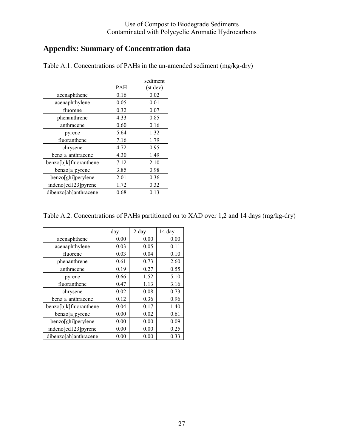# **Appendix: Summary of Concentration data**

|                        |      | sediment |
|------------------------|------|----------|
|                        | PAH  | (st dev) |
| acenaphthene           | 0.16 | 0.02     |
| acenaphthylene         | 0.05 | 0.01     |
| fluorene               | 0.32 | 0.07     |
| phenanthrene           | 4.33 | 0.85     |
| anthracene             | 0.60 | 0.16     |
| pyrene                 | 5.64 | 1.32     |
| fluoranthene           | 7.16 | 1.79     |
| chrysene               | 4.72 | 0.95     |
| benz[a]anthracene      | 4.30 | 1.49     |
| benzo[bjk]fluoranthene | 7.12 | 2.10     |
| benzo[a]pyrene         | 3.85 | 0.98     |
| benzo[ghi]perylene     | 2.01 | 0.36     |
| indeno[cd123]pyrene    | 1.72 | 0.32     |
| dibenzo[ah]anthracene  | 0.68 | 0.13     |

Table A.1. Concentrations of PAHs in the un-amended sediment (mg/kg-dry)

|                        | 1 day | 2 day | 14 day |
|------------------------|-------|-------|--------|
| acenaphthene           | 0.00  | 0.00  | 0.00   |
| acenaphthylene         | 0.03  | 0.05  | 0.11   |
| fluorene               | 0.03  | 0.04  | 0.10   |
| phenanthrene           | 0.61  | 0.73  | 2.60   |
| anthracene             | 0.19  | 0.27  | 0.55   |
| pyrene                 | 0.66  | 1.52  | 5.10   |
| fluoranthene           | 0.47  | 1.13  | 3.16   |
| chrysene               | 0.02  | 0.08  | 0.73   |
| benz[a]anthracene      | 0.12  | 0.36  | 0.96   |
| benzo[bjk]fluoranthene | 0.04  | 0.17  | 1.40   |
| benzo[a]pyrene         | 0.00  | 0.02  | 0.61   |
| benzo[ghi]perylene     | 0.00  | 0.00  | 0.09   |
| indeno[cd123]pyrene    | 0.00  | 0.00  | 0.25   |
| dibenzo[ah]anthracene  | 0.00  | 0.00  | 0.33   |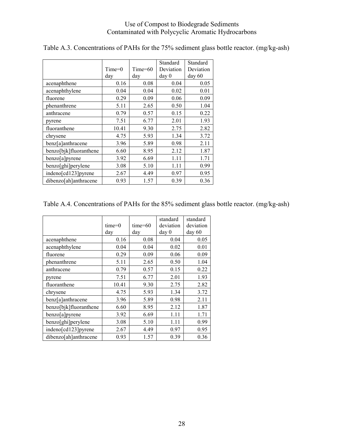|                        |          |           | Standard         | Standard  |
|------------------------|----------|-----------|------------------|-----------|
|                        | $Time=0$ | $Time=60$ | Deviation        | Deviation |
|                        | day      | day       | day <sub>0</sub> | day 60    |
| acenaphthene           | 0.16     | 0.08      | 0.04             | 0.05      |
| acenaphthylene         | 0.04     | 0.04      | 0.02             | 0.01      |
| fluorene               | 0.29     | 0.09      | 0.06             | 0.09      |
| phenanthrene           | 5.11     | 2.65      | 0.50             | 1.04      |
| anthracene             | 0.79     | 0.57      | 0.15             | 0.22      |
| pyrene                 | 7.51     | 6.77      | 2.01             | 1.93      |
| fluoranthene           | 10.41    | 9.30      | 2.75             | 2.82      |
| chrysene               | 4.75     | 5.93      | 1.34             | 3.72      |
| benz[a]anthracene      | 3.96     | 5.89      | 0.98             | 2.11      |
| benzo[bjk]fluoranthene | 6.60     | 8.95      | 2.12             | 1.87      |
| benzo[a]pyrene         | 3.92     | 6.69      | 1.11             | 1.71      |
| benzo[ghi]perylene     | 3.08     | 5.10      | 1.11             | 0.99      |
| indeno[cd123]pyrene    | 2.67     | 4.49      | 0.97             | 0.95      |
| dibenzo[ah]anthracene  | 0.93     | 1.57      | 0.39             | 0.36      |

Table A.3. Concentrations of PAHs for the 75% sediment glass bottle reactor. (mg/kg-ash)

## Table A.4. Concentrations of PAHs for the 85% sediment glass bottle reactor. (mg/kg-ash)

|                        | $time=0$<br>day | $time=60$<br>day | standard<br>deviation<br>day 0 | standard<br>deviation<br>day 60 |
|------------------------|-----------------|------------------|--------------------------------|---------------------------------|
| acenaphthene           | 0.16            | 0.08             | 0.04                           | 0.05                            |
| acenaphthylene         | 0.04            | 0.04             | 0.02                           | 0.01                            |
| fluorene               | 0.29            | 0.09             | 0.06                           | 0.09                            |
| phenanthrene           | 5.11            | 2.65             | 0.50                           | 1.04                            |
| anthracene             | 0.79            | 0.57             | 0.15                           | 0.22                            |
| pyrene                 | 7.51            | 6.77             | 2.01                           | 1.93                            |
| fluoranthene           | 10.41           | 9.30             | 2.75                           | 2.82                            |
| chrysene               | 4.75            | 5.93             | 1.34                           | 3.72                            |
| benz[a]anthracene      | 3.96            | 5.89             | 0.98                           | 2.11                            |
| benzo[bjk]fluoranthene | 6.60            | 8.95             | 2.12                           | 1.87                            |
| benzo[a]pyrene         | 3.92            | 6.69             | 1.11                           | 1.71                            |
| benzo[ghi]perylene     | 3.08            | 5.10             | 1.11                           | 0.99                            |
| indeno[cd123]pyrene    | 2.67            | 4.49             | 0.97                           | 0.95                            |
| dibenzo[ah]anthracene  | 0.93            | 1.57             | 0.39                           | 0.36                            |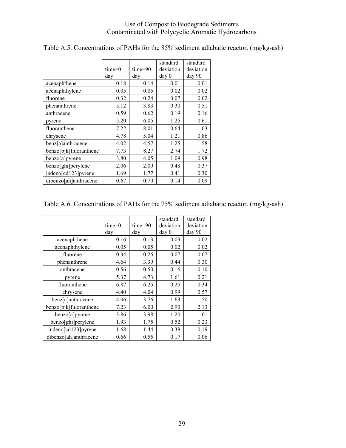|                        | $time=0$ | $time=90$ | standard<br>deviation | standard<br>deviation |
|------------------------|----------|-----------|-----------------------|-----------------------|
|                        | day      | day       | day 0                 | day 90                |
| acenaphthene           | 0.18     | 0.14      | 0.01                  | 0.01                  |
| acenaphthylene         | 0.05     | 0.05      | 0.02                  | 0.02                  |
| fluorene               | 0.32     | 0.24      | 0.07                  | 0.02                  |
| phenanthrene           | 5.12     | 3.83      | 0.30                  | 0.51                  |
| anthracene             | 0.59     | 0.62      | 0.19                  | 0.16                  |
| pyrene                 | 5.20     | 6.05      | 1.25                  | 0.61                  |
| fluoranthene           | 7.22     | 8.01      | 0.64                  | 1.03                  |
| chrysene               | 4.78     | 5.04      | 1.21                  | 0.86                  |
| benz[a]anthracene      | 4.02     | 4.57      | 1.25                  | 1.58                  |
| benzo[bjk]fluoranthene | 7.73     | 8.27      | 2.74                  | 1.72                  |
| benzo[a]pyrene         | 3.80     | 4.05      | 1.09                  | 0.98                  |
| benzo[ghi]perylene     | 2.06     | 2.09      | 0.48                  | 0.37                  |
| indeno[cd123]pyrene    | 1.69     | 1.77      | 0.41                  | 0.30                  |
| dibenzo[ah]anthracene  | 0.67     | 0.70      | 0.14                  | 0.09                  |

## Table A.5. Concentrations of PAHs for the 85% sediment adiabatic reactor. (mg/kg-ash)

## Table A.6. Concentrations of PAHs for the 75% sediment adiabatic reactor. (mg/kg-ash)

|                        |          |           | standard         | standard  |
|------------------------|----------|-----------|------------------|-----------|
|                        | $time=0$ | $time=90$ | deviation        | deviation |
|                        | day      | day       | day <sub>0</sub> | day 90    |
| acenaphthene           | 0.16     | 0.13      | 0.03             | 0.02      |
| acenaphthylene         | 0.05     | 0.05      | 0.02             | 0.02      |
| fluorene               | 0.34     | 0.26      | 0.07             | 0.07      |
| phenanthrene           | 4.64     | 3.39      | 0.44             | 0.30      |
| anthracene             | 0.56     | 0.50      | 0.16             | 0.10      |
| pyrene                 | 5.37     | 4.73      | 1.61             | 0.21      |
| fluoranthene           | 6.87     | 6.25      | 0.25             | 0.34      |
| chrysene               | 4.40     | 4.04      | 0.99             | 0.57      |
| benz[a]anthracene      | 4.06     | 3.76      | 1.63             | 1.50      |
| benzo[bjk]fluoranthene | 7.23     | 6.00      | 2.90             | 2.13      |
| benzo[a]pyrene         | 3.86     | 3.98      | 1.20             | 1.01      |
| benzo[ghi]perylene     | 1.93     | 1.75      | 0.52             | 0.23      |
| indeno[cd123]pyrene    | 1.68     | 1.44      | 0.39             | 0.19      |
| dibenzo[ah]anthracene  | 0.66     | 0.55      | 0.17             | 0.06      |